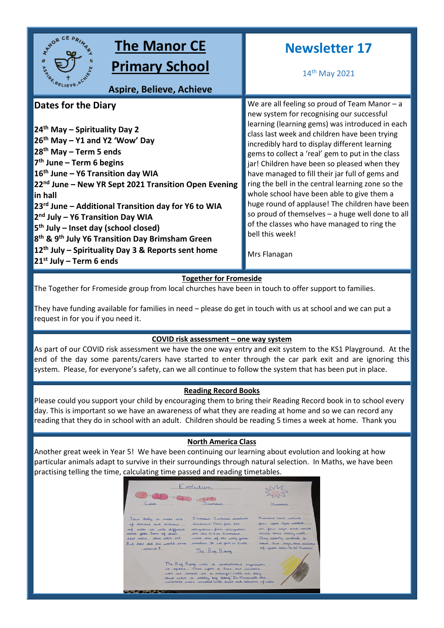

The Together for Fromeside group from local churches have been in touch to offer support to families.

They have funding available for families in need – please do get in touch with us at school and we can put a request in for you if you need it.

## **COVID risk assessment – one way system**

As part of our COVID risk assessment we have the one way entry and exit system to the KS1 Playground. At the end of the day some parents/carers have started to enter through the car park exit and are ignoring this system. Please, for everyone's safety, can we all continue to follow the system that has been put in place.

# **Reading Record Books**

Please could you support your child by encouraging them to bring their Reading Record book in to school every day. This is important so we have an awareness of what they are reading at home and so we can record any reading that they do in school with an adult. Children should be reading 5 times a week at home. Thank you

## **North America Class**

Another great week in Year 5! We have been continuing our learning about evolution and looking at how particular animals adapt to survive in their surroundings through natural selection. In Maths, we have been practising telling the time, calculating time passed and reading timetables.

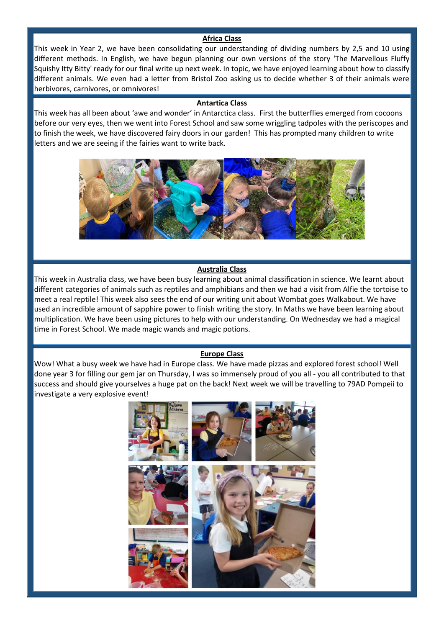## **Africa Class**

This week in Year 2, we have been consolidating our understanding of dividing numbers by 2,5 and 10 using different methods. In English, we have begun planning our own versions of the story 'The Marvellous Fluffy Squishy Itty Bitty' ready for our final write up next week. In topic, we have enjoyed learning about how to classify different animals. We even had a letter from Bristol Zoo asking us to decide whether 3 of their animals were herbivores, carnivores, or omnivores!

### **Antartica Class**

This week has all been about 'awe and wonder' in Antarctica class. First the butterflies emerged from cocoons before our very eyes, then we went into Forest School and saw some wriggling tadpoles with the periscopes and to finish the week, we have discovered fairy doors in our garden! This has prompted many children to write letters and we are seeing if the fairies want to write back.



#### **Australia Class**

This week in Australia class, we have been busy learning about animal classification in science. We learnt about different categories of animals such as reptiles and amphibians and then we had a visit from Alfie the tortoise to meet a real reptile! This week also sees the end of our writing unit about Wombat goes Walkabout. We have used an incredible amount of sapphire power to finish writing the story. In Maths we have been learning about multiplication. We have been using pictures to help with our understanding. On Wednesday we had a magical time in Forest School. We made magic wands and magic potions.

#### **Europe Class**

Wow! What a busy week we have had in Europe class. We have made pizzas and explored forest school! Well done year 3 for filling our gem jar on Thursday, I was so immensely proud of you all - you all contributed to that success and should give yourselves a huge pat on the back! Next week we will be travelling to 79AD Pompeii to investigate a very explosive event!